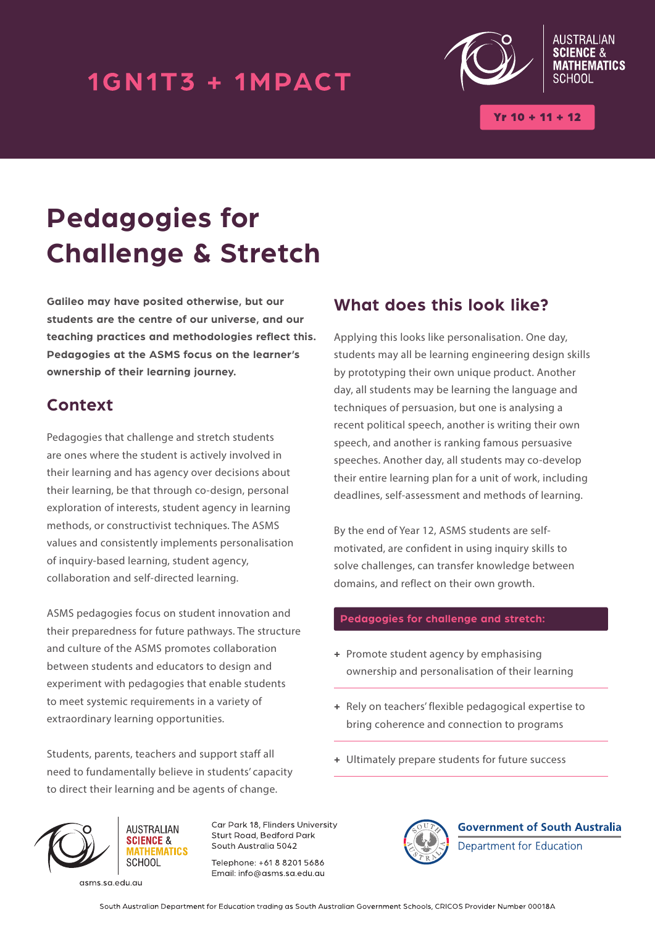## 1GN1T3 + 1MPACT



 $Yr 10 + 11 + 12$ 

# **Pedagogies for Challenge & Stretch**

**Galileo may have posited otherwise, but our students are the centre of our universe, and our teaching practices and methodologies reflect this. Pedagogies at the ASMS focus on the learner's ownership of their learning journey.**

### **Context**

Pedagogies that challenge and stretch students are ones where the student is actively involved in their learning and has agency over decisions about their learning, be that through co-design, personal exploration of interests, student agency in learning methods, or constructivist techniques. The ASMS values and consistently implements personalisation of inquiry-based learning, student agency, collaboration and self-directed learning.

ASMS pedagogies focus on student innovation and their preparedness for future pathways. The structure and culture of the ASMS promotes collaboration between students and educators to design and experiment with pedagogies that enable students to meet systemic requirements in a variety of extraordinary learning opportunities.

Students, parents, teachers and support staff all need to fundamentally believe in students' capacity to direct their learning and be agents of change.

### **What does this look like?**

Applying this looks like personalisation. One day, students may all be learning engineering design skills by prototyping their own unique product. Another day, all students may be learning the language and techniques of persuasion, but one is analysing a recent political speech, another is writing their own speech, and another is ranking famous persuasive speeches. Another day, all students may co-develop their entire learning plan for a unit of work, including deadlines, self-assessment and methods of learning.

By the end of Year 12, ASMS students are selfmotivated, are confident in using inquiry skills to solve challenges, can transfer knowledge between domains, and reflect on their own growth.

#### **Pedagogies for challenge and stretch:**

- **+** Promote student agency by emphasising ownership and personalisation of their learning
- **+** Rely on teachers' flexible pedagogical expertise to bring coherence and connection to programs
- **+** Ultimately prepare students for future success



asms.sa.edu.au

Car Park 18, Flinders University Sturt Road, Bedford Park South Australia 5042

Telephone: +61 8 8201 5686 Email: info@asms.sa.edu.au



**Government of South Australia** Department for Education